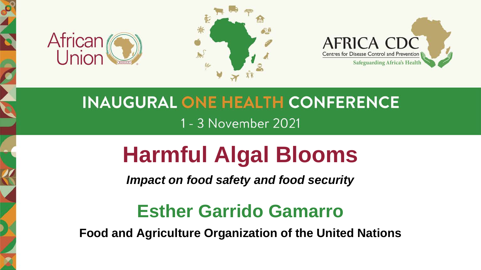





## **INAUGURAL ONE HEALTH CONFERENCE** 1 - 3 November 2021

## **Harmful Algal Blooms**

*Impact on food safety and food security*

## **Esther Garrido Gamarro**

**Food and Agriculture Organization of the United Nations**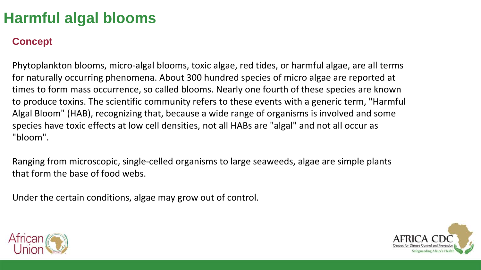#### **Concept**

Phytoplankton blooms, micro-algal blooms, toxic algae, red tides, or harmful algae, are all terms for naturally occurring phenomena. About 300 hundred species of micro algae are reported at times to form mass occurrence, so called blooms. Nearly one fourth of these species are known to produce toxins. The scientific community refers to these events with a generic term, "Harmful Algal Bloom" (HAB), recognizing that, because a wide range of organisms is involved and some species have toxic effects at low cell densities, not all HABs are "algal" and not all occur as "bloom".

Ranging from microscopic, single-celled organisms to large seaweeds, algae are simple plants that form the base of food webs.

Under the certain conditions, algae may grow out of control.



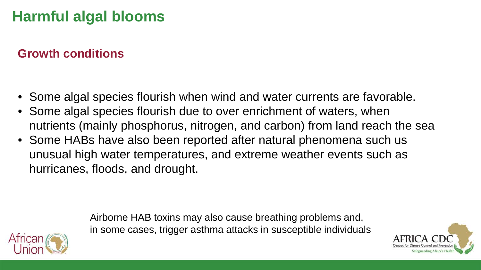#### **Growth conditions**

- Some algal species flourish when wind and water currents are favorable.
- Some algal species flourish due to over enrichment of waters, when nutrients (mainly phosphorus, nitrogen, and carbon) from land reach the sea
- Some HABs have also been reported after natural phenomena such us unusual high water temperatures, and extreme weather events such as hurricanes, floods, and drought.

Airborne HAB toxins may also cause breathing problems and, in some cases, trigger asthma attacks in susceptible individuals

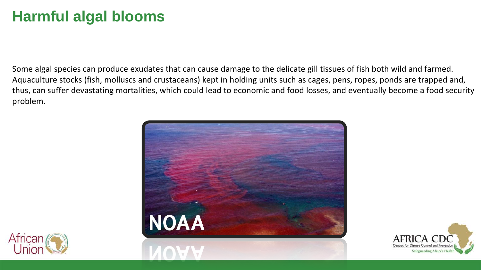Some algal species can produce exudates that can cause damage to the delicate gill tissues of fish both wild and farmed. Aquaculture stocks (fish, molluscs and crustaceans) kept in holding units such as cages, pens, ropes, ponds are trapped and, thus, can suffer devastating mortalities, which could lead to economic and food losses, and eventually become a food security problem.





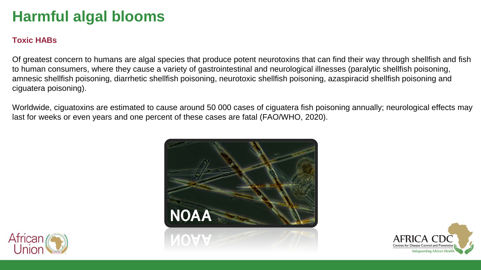#### **Toxic HABs**

Of greatest concern to humans are algal species that produce potent neurotoxins that can find their way through shellfish and fish to human consumers, where they cause a variety of gastrointestinal and neurological illnesses (paralytic shellfish poisoning, amnesic shellfish poisoning, diarrhetic shellfish poisoning, neurotoxic shellfish poisoning, azaspiracid shellfish poisoning and ciguatera poisoning).

Worldwide, ciguatoxins are estimated to cause around 50 000 cases of ciguatera fish poisoning annually; neurological effects may last for weeks or even years and one percent of these cases are fatal (FAO/WHO, 2020).





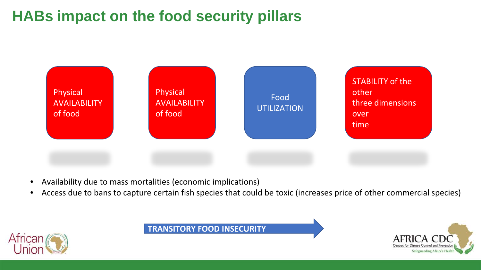## **HABs impact on the food security pillars**



- Availability due to mass mortalities (economic implications)
- Access due to bans to capture certain fish species that could be toxic (increases price of other commercial species)



**TRANSITORY FOOD INSECURITY**

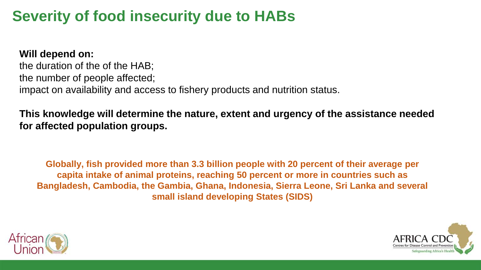## **Severity of food insecurity due to HABs**

**Will depend on:**

the duration of the of the HAB; the number of people affected; impact on availability and access to fishery products and nutrition status.

**This knowledge will determine the nature, extent and urgency of the assistance needed for affected population groups.**

**Globally, fish provided more than 3.3 billion people with 20 percent of their average per capita intake of animal proteins, reaching 50 percent or more in countries such as Bangladesh, Cambodia, the Gambia, Ghana, Indonesia, Sierra Leone, Sri Lanka and several small island developing States (SIDS)**



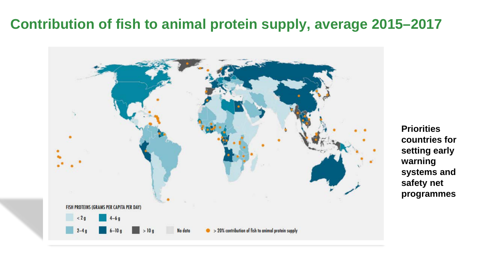### **Contribution of fish to animal protein supply, average 2015–2017**



**Priorities countries for setting early warning systems and safety net programmes**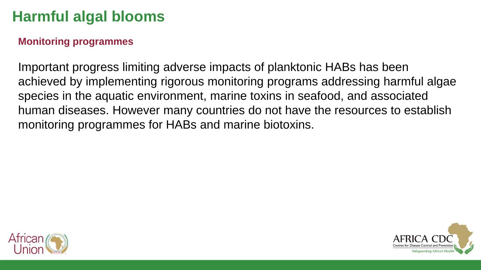#### **Monitoring programmes**

Important progress limiting adverse impacts of planktonic HABs has been achieved by implementing rigorous monitoring programs addressing harmful algae species in the aquatic environment, marine toxins in seafood, and associated human diseases. However many countries do not have the resources to establish monitoring programmes for HABs and marine biotoxins.



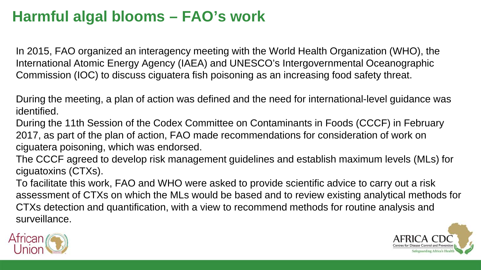In 2015, FAO organized an interagency meeting with the World Health Organization (WHO), the International Atomic Energy Agency (IAEA) and UNESCO's Intergovernmental Oceanographic Commission (IOC) to discuss ciguatera fish poisoning as an increasing food safety threat.

During the meeting, a plan of action was defined and the need for international-level guidance was identified.

During the 11th Session of the Codex Committee on Contaminants in Foods (CCCF) in February 2017, as part of the plan of action, FAO made recommendations for consideration of work on ciguatera poisoning, which was endorsed.

The CCCF agreed to develop risk management guidelines and establish maximum levels (MLs) for ciguatoxins (CTXs).

To facilitate this work, FAO and WHO were asked to provide scientific advice to carry out a risk assessment of CTXs on which the MLs would be based and to review existing analytical methods for CTXs detection and quantification, with a view to recommend methods for routine analysis and surveillance.



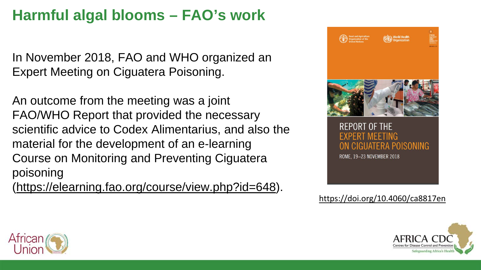In November 2018, FAO and WHO organized an Expert Meeting on Ciguatera Poisoning.

An outcome from the meeting was a joint FAO/WHO Report that provided the necessary scientific advice to Codex Alimentarius, and also the material for the development of an e-learning Course on Monitoring and Preventing Ciguatera poisoning

[\(https://elearning.fao.org/course/view.php?id=648\)](https://elearning.fao.org/course/view.php?id=648).



#### <https://doi.org/10.4060/ca8817en>



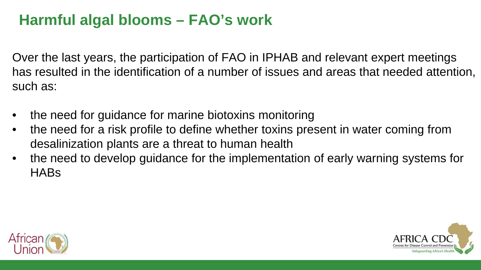Over the last years, the participation of FAO in IPHAB and relevant expert meetings has resulted in the identification of a number of issues and areas that needed attention, such as:

- the need for guidance for marine biotoxins monitoring
- the need for a risk profile to define whether toxins present in water coming from desalinization plants are a threat to human health
- the need to develop guidance for the implementation of early warning systems for HABs



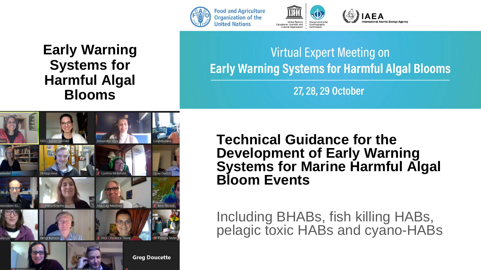





**Virtual Expert Meeting on Early Warning Systems for Harmful Algal Blooms** 

**AEA** 

27, 28, 29 October



**Technical Guidance for the Development of Early Warning Systems for Marine Harmful Algal Bloom Events**

Including BHABs, fish killing HABs, pelagic toxic HABs and cyano-HABs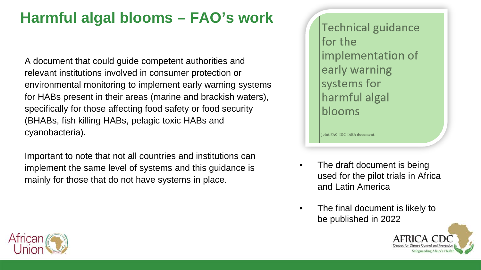A document that could guide competent authorities and relevant institutions involved in consumer protection or environmental monitoring to implement early warning systems for HABs present in their areas (marine and brackish waters), specifically for those affecting food safety or food security (BHABs, fish killing HABs, pelagic toxic HABs and cyanobacteria).

Important to note that not all countries and institutions can implement the same level of systems and this guidance is mainly for those that do not have systems in place.

**Technical guidance** for the implementation of early warning systems for harmful algal blooms

Joint FAO, IOC, IAEA document

- The draft document is being used for the pilot trials in Africa and Latin America
- The final document is likely to be published in 2022



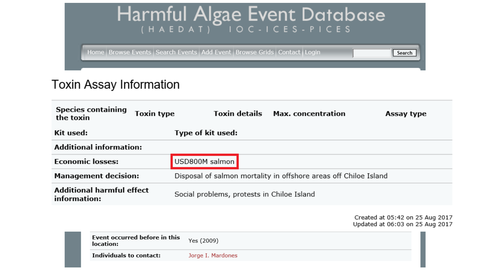

#### Toxin Assay Information

| the toxin                                        | <b>Species containing</b>                  | <b>Toxin type</b> | Toxin details                                                    | <b>Max.</b> concentration | Assay type                                                         |  |  |
|--------------------------------------------------|--------------------------------------------|-------------------|------------------------------------------------------------------|---------------------------|--------------------------------------------------------------------|--|--|
| Kit used:                                        |                                            |                   | Type of kit used:                                                |                           |                                                                    |  |  |
|                                                  | <b>Additional information:</b>             |                   |                                                                  |                           |                                                                    |  |  |
| <b>Economic losses:</b>                          |                                            |                   | USD800M salmon                                                   |                           |                                                                    |  |  |
| <b>Management decision:</b>                      |                                            |                   | Disposal of salmon mortality in offshore areas off Chiloe Island |                           |                                                                    |  |  |
| <b>Additional harmful effect</b><br>information: |                                            |                   | Social problems, protests in Chiloe Island                       |                           |                                                                    |  |  |
|                                                  |                                            |                   |                                                                  |                           | Created at 05:42 on 25 Aug 2017<br>Updated at 06:03 on 25 Aug 2017 |  |  |
|                                                  | Event occurred before in this<br>location: |                   | Yes (2009)                                                       |                           |                                                                    |  |  |
|                                                  | Individuals to contact:                    |                   | Jorge I. Mardones                                                |                           |                                                                    |  |  |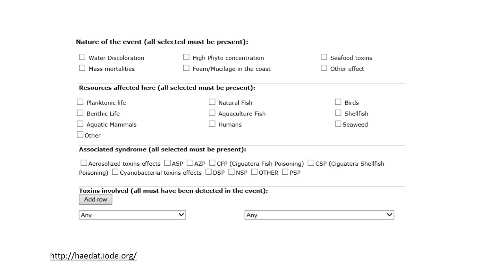#### Nature of the event (all selected must be present):

| <b>Water Discoloration</b>                                                                                                    | High Phyto concentration   |     | Seafood toxins |  |  |  |  |  |
|-------------------------------------------------------------------------------------------------------------------------------|----------------------------|-----|----------------|--|--|--|--|--|
| Mass mortalities                                                                                                              | Foam/Mucilage in the coast |     | Other effect   |  |  |  |  |  |
|                                                                                                                               |                            |     |                |  |  |  |  |  |
| Resources affected here (all selected must be present):                                                                       |                            |     |                |  |  |  |  |  |
| Planktonic life                                                                                                               | Natural Fish               |     | <b>Birds</b>   |  |  |  |  |  |
| <b>Benthic Life</b>                                                                                                           | Aquaculture Fish           |     | Shellfish      |  |  |  |  |  |
| Aquatic Mammals                                                                                                               | Humans                     |     | $\Box$ Seaweed |  |  |  |  |  |
| $\lrcorner$ Other                                                                                                             |                            |     |                |  |  |  |  |  |
| Associated syndrome (all selected must be present):                                                                           |                            |     |                |  |  |  |  |  |
| $\Box$ Aerosolized toxins effects $\Box$ ASP $\Box$ AZP $\Box$ CFP (Ciguatera Fish Poisoning) $\Box$ CSP (Ciguatera Shellfish |                            |     |                |  |  |  |  |  |
| Poisoning) $\Box$ Cyanobacterial toxins effects $\Box$ DSP $\Box$ NSP $\Box$ OTHER $\Box$ PSP                                 |                            |     |                |  |  |  |  |  |
|                                                                                                                               |                            |     |                |  |  |  |  |  |
| Toxins involved (all must have been detected in the event):<br>Add row                                                        |                            |     |                |  |  |  |  |  |
| Any                                                                                                                           |                            | Any |                |  |  |  |  |  |

#### <http://haedat.iode.org/>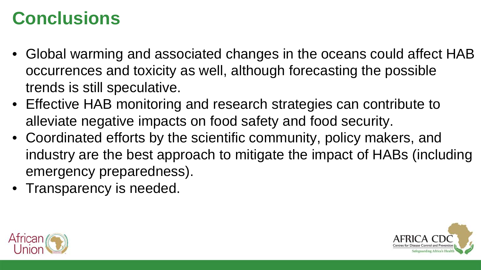## **Conclusions**

- Global warming and associated changes in the oceans could affect HAB occurrences and toxicity as well, although forecasting the possible trends is still speculative.
- Effective HAB monitoring and research strategies can contribute to alleviate negative impacts on food safety and food security.
- Coordinated efforts by the scientific community, policy makers, and industry are the best approach to mitigate the impact of HABs (including emergency preparedness).
- Transparency is needed.